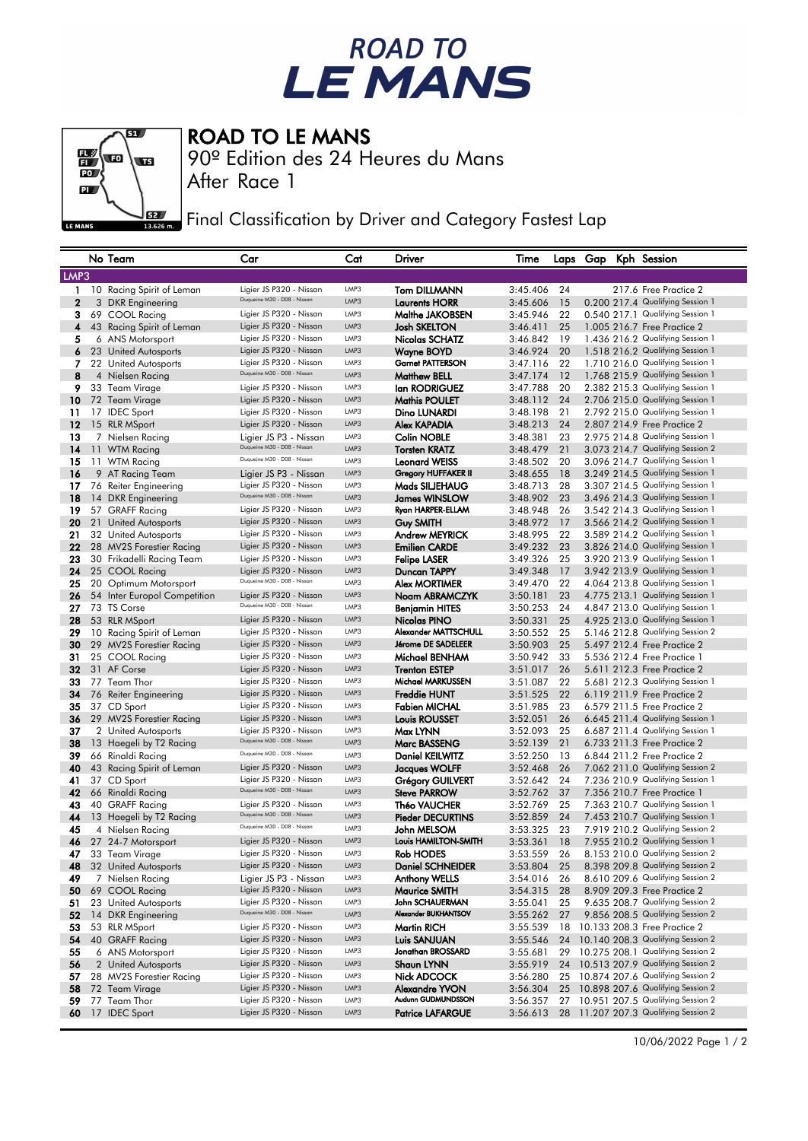## ROAD TO<br>LE MANS



ROAD TO LE MANS

90º Edition des 24 Heures du Mans

After Race 1

Final Classification by Driver and Category Fastest Lap

|                | No Team                                    | Car                                                    | Cat          | Driver                                          | Time                 |          |  | Laps Gap Kph Session                                                 |
|----------------|--------------------------------------------|--------------------------------------------------------|--------------|-------------------------------------------------|----------------------|----------|--|----------------------------------------------------------------------|
| LMP3           |                                            |                                                        |              |                                                 |                      |          |  |                                                                      |
| $\mathbf{1}$   | 10 Racing Spirit of Leman                  | Ligier JS P320 - Nissan                                | LMP3         | <b>Tom DILLMANN</b>                             | 3:45.406             | 24       |  | 217.6 Free Practice 2                                                |
| $\overline{2}$ | 3 DKR Engineering                          | Duqueine M30 - D08 - Nissan                            | LMP3         | <b>Laurents HORR</b>                            | 3:45.606             | 15       |  | 0.200 217.4 Qualifying Session 1                                     |
| з              | 69 COOL Racing                             | Ligier JS P320 - Nissan                                | LMP3         | Malthe JAKOBSEN                                 | 3:45.946             | 22       |  | 0.540 217.1 Qualifying Session 1                                     |
| 4              | 43 Racing Spirit of Leman                  | Ligier JS P320 - Nissan                                | LMP3         | <b>Josh SKELTON</b>                             | 3:46.411             | 25       |  | 1.005 216.7 Free Practice 2                                          |
| 5              | 6 ANS Motorsport                           | Ligier JS P320 - Nissan                                | LMP3         | Nicolas SCHATZ                                  | 3:46.842             | 19       |  | 1.436 216.2 Qualifying Session 1                                     |
| 6              | 23 United Autosports                       | Ligier JS P320 - Nissan                                | LMP3         | <b>Wayne BOYD</b>                               | 3:46.924             | 20       |  | 1.518 216.2 Qualifying Session 1                                     |
| 7              | 22 United Autosports                       | Ligier JS P320 - Nissan                                | LMP3         | <b>Garnet PATTERSON</b>                         | 3:47.116             | 22       |  | 1.710 216.0 Qualifying Session 1                                     |
| 8              | 4 Nielsen Racing                           | Duqueine M30 - D08 - Nissan                            | LMP3         | <b>Matthew BELL</b>                             | 3:47.174             | 12       |  | 1.768 215.9 Qualifying Session 1                                     |
| 9              | 33 Team Virage                             | Ligier JS P320 - Nissan                                | LMP3         | lan RODRIGUEZ                                   | 3:47.788             | 20       |  | 2.382 215.3 Qualifying Session 1                                     |
| 10             | 72 Team Virage                             | Ligier JS P320 - Nissan                                | LMP3         | <b>Mathis POULET</b>                            | 3:48.112             | 24       |  | 2.706 215.0 Qualifying Session 1                                     |
| 11             | 17 IDEC Sport                              | Ligier JS P320 - Nissan                                | LMP3         | Dino LUNARDI                                    | 3:48.198             | 21       |  | 2.792 215.0 Qualifying Session 1                                     |
| 12             | 15 RLR MSport                              | Ligier JS P320 - Nissan                                | LMP3         | Alex KAPADIA                                    | 3:48.213             | 24       |  | 2.807 214.9 Free Practice 2                                          |
| 13             | 7 Nielsen Racing                           | Ligier JS P3 - Nissan                                  | LMP3         | <b>Colin NOBLE</b>                              | 3:48.381             | 23       |  | 2.975 214.8 Qualifying Session 1                                     |
| 14             | 11 WTM Racing                              | Duqueine M30 - D08 - Nissan                            | LMP3         | <b>Torsten KRATZ</b>                            | 3:48.479             | 21       |  | 3.073 214.7 Qualifying Session 2                                     |
| 15             | 11 WTM Racing                              | Duqueine M30 - D08 - Nissan                            | LMP3         | <b>Leonard WEISS</b>                            | 3:48.502             | 20       |  | 3.096 214.7 Qualifying Session 1                                     |
| 16             | 9 AT Racing Team                           | Ligier JS P3 - Nissan                                  | LMP3         | Gregory HUFFAKER II                             | 3:48.655             | 18       |  | 3.249 214.5 Qualifying Session 1                                     |
| 17             | 76 Reiter Engineering                      | Ligier JS P320 - Nissan                                | LMP3         | Mads SILJEHAUG                                  | 3:48.713             | 28       |  | 3.307 214.5 Qualifying Session 1                                     |
| 18             | 14 DKR Engineering                         | Duqueine M30 - D08 - Nissan                            | LMP3         | <b>James WINSLOW</b>                            | 3:48.902             | 23       |  | 3.496 214.3 Qualifying Session 1                                     |
| 19             | 57 GRAFF Racing                            | Ligier JS P320 - Nissan                                | LMP3         | Ryan HARPER-ELLAM                               | 3:48.948             | 26       |  | 3.542 214.3 Qualifying Session 1                                     |
| 20             | 21 United Autosports                       | Ligier JS P320 - Nissan                                | LMP3         | <b>Guy SMITH</b>                                | 3:48.972             | 17       |  | 3.566 214.2 Qualifying Session 1                                     |
| 21             | 32 United Autosports                       | Ligier JS P320 - Nissan                                | LMP3         | <b>Andrew MEYRICK</b>                           | 3:48.995             | 22       |  | 3.589 214.2 Qualifying Session 1                                     |
| 22             | 28 MV2S Forestier Racing                   | Ligier JS P320 - Nissan                                | LMP3         | <b>Emilien CARDE</b>                            | 3:49.232             | 23       |  | 3.826 214.0 Qualifying Session 1                                     |
| 23             | 30 Frikadelli Racing Team                  | Ligier JS P320 - Nissan                                | LMP3         | <b>Felipe LASER</b>                             | 3:49.326             | 25       |  | 3.920 213.9 Qualifying Session 1                                     |
| 24             | 25 COOL Racing                             | Ligier JS P320 - Nissan                                | LMP3         | Duncan TAPPY                                    | 3:49.348             | 17       |  | 3.942 213.9 Qualifying Session 1                                     |
| 25             | 20 Optimum Motorsport                      | Duqueine M30 - D08 - Nissan                            | LMP3         | <b>Alex MORTIMER</b>                            | 3:49.470             | 22       |  | 4.064 213.8 Qualifying Session 1                                     |
| 26             | 54 Inter Europol Competition               | Ligier JS P320 - Nissan                                | LMP3         | Noam ABRAMCZYK                                  | 3:50.181             | 23       |  | 4.775 213.1 Qualifying Session 1                                     |
| 27             | 73 TS Corse                                | Duqueine M30 - D08 - Nissan                            | LMP3         | Benjamin HITES                                  | 3:50.253             | 24       |  | 4.847 213.0 Qualifying Session 1                                     |
| 28             | 53 RLR MSport                              | Ligier JS P320 - Nissan                                | LMP3         | Nicolas PINO                                    | 3:50.331             | 25       |  | 4.925 213.0 Qualifying Session 1                                     |
| 29             | 10 Racing Spirit of Leman                  | Ligier JS P320 - Nissan                                | LMP3         | Alexander MATTSCHULL                            | 3:50.552             | 25       |  | 5.146 212.8 Qualifying Session 2                                     |
| 30             | 29 MV2S Forestier Racing                   | Ligier JS P320 - Nissan                                | LMP3         | Jérome DE SADELEER                              | 3:50.903             | 25       |  | 5.497 212.4 Free Practice 2                                          |
| 31             | 25 COOL Racing                             | Ligier JS P320 - Nissan                                | LMP3         | Michael BENHAM                                  | 3:50.942             | 33       |  | 5.536 212.4 Free Practice 1                                          |
| 32             | 31 AF Corse                                | Ligier JS P320 - Nissan                                | LMP3         | <b>Trenton ESTEP</b>                            | 3:51.017             | 26       |  | 5.611 212.3 Free Practice 2                                          |
| 33             | 77 Team Thor                               | Ligier JS P320 - Nissan                                | LMP3         | Michael MARKUSSEN                               | 3:51.087             | 22       |  | 5.681 212.3 Qualifying Session 1                                     |
| 34             | 76 Reiter Engineering                      | Ligier JS P320 - Nissan                                | LMP3         | <b>Freddie HUNT</b>                             | 3:51.525             | 22       |  | 6.119 211.9 Free Practice 2                                          |
| 35             | 37 CD Sport                                | Ligier JS P320 - Nissan                                | LMP3         | <b>Fabien MICHAL</b>                            | 3:51.985             | 23       |  | 6.579 211.5 Free Practice 2                                          |
| 36             | 29 MV2S Forestier Racing                   | Ligier JS P320 - Nissan                                | LMP3         | Louis ROUSSET                                   | 3:52.051             | 26       |  | 6.645 211.4 Qualifying Session 1                                     |
| 37             | 2 United Autosports                        | Ligier JS P320 - Nissan                                | LMP3         | Max LYNN                                        | 3:52.093             | 25       |  | 6.687 211.4 Qualifying Session 1                                     |
| 38             | 13 Haegeli by T2 Racing                    | Duqueine M30 - D08 - Nissan                            | LMP3         | <b>Marc BASSENG</b>                             | 3:52.139             | 21       |  | 6.733 211.3 Free Practice 2                                          |
| 39             | 66 Rinaldi Racing                          | Duqueine M30 - D08 - Nissan                            | LMP3         | <b>Daniel KEILWITZ</b>                          | 3:52.250             | 13       |  | 6.844 211.2 Free Practice 2                                          |
| 40             | 43 Racing Spirit of Leman                  | Ligier JS P320 - Nissan                                | LMP3         | <b>Jacques WOLFF</b>                            | 3:52.468             | 26       |  | 7.062 211.0 Qualifying Session 2                                     |
| 41             | 37 CD Sport                                | Ligier JS P320 - Nissan<br>Duqueine M30 - D08 - Nissan | LMP3         | Grégory GUILVERT                                | 3:52.642             | 24       |  | 7.236 210.9 Qualifying Session 1                                     |
| 42             | 66 Rinaldi Racing                          |                                                        | LMP3         | Steve PARROW                                    | 3:52.762             | 37       |  | 7.356 210.7 Free Practice 1                                          |
| 43             | 40 GRAFF Racing                            | Ligier JS P320 - Nissan<br>Duqueine M30 - D08 - Nissan | LMP3         | Théo VAUCHER                                    | 3:52.769             | 25       |  | 7.363 210.7 Qualifying Session 1                                     |
| 44             | 13 Haegeli by T2 Racing                    | Duqueine M30 - D08 - Nissan                            | LMP3<br>LMP3 | <b>Pieder DECURTINS</b>                         | 3:52.859             | 24       |  | 7.453 210.7 Qualifying Session 1                                     |
| 45             | 4 Nielsen Racing                           |                                                        | LMP3         | John MELSOM<br>Louis HAMILTON-SMITH             | 3:53.325             | 23       |  | 7.919 210.2 Qualifying Session 2                                     |
| 46             | 27 24-7 Motorsport                         | Ligier JS P320 - Nissan<br>Ligier JS P320 - Nissan     | LMP3         |                                                 | 3:53.361             | 18       |  | 7.955 210.2 Qualifying Session 1<br>8.153 210.0 Qualifying Session 2 |
| 47             | 33 Team Virage                             | Ligier JS P320 - Nissan                                | LMP3         | Rob HODES                                       | 3:53.559             | 26       |  |                                                                      |
| 48<br>49       | 32 United Autosports                       | Ligier JS P3 - Nissan                                  | LMP3         | <b>Daniel SCHNEIDER</b><br><b>Anthony WELLS</b> | 3:53.804<br>3:54.016 | 25       |  | 8.398 209.8 Qualifying Session 2<br>8.610 209.6 Qualifying Session 2 |
| 50             | 7 Nielsen Racing<br>69 COOL Racing         | Ligier JS P320 - Nissan                                | LMP3         | <b>Maurice SMITH</b>                            | 3:54.315             | 26<br>28 |  | 8.909 209.3 Free Practice 2                                          |
|                |                                            | Ligier JS P320 - Nissan                                | LMP3         | John SCHAUERMAN                                 |                      |          |  | 9.635 208.7 Qualifying Session 2                                     |
| 51<br>52       | 23 United Autosports<br>14 DKR Engineering | Duqueine M30 - D08 - Nissan                            | LMP3         | Alexander BUKHANTSOV                            | 3:55.041<br>3:55.262 | 25<br>27 |  | 9.856 208.5 Qualifying Session 2                                     |
| 53             | 53 RLR MSport                              | Ligier JS P320 - Nissan                                | LMP3         | <b>Martin RICH</b>                              | 3:55.539             |          |  | 18 10.133 208.3 Free Practice 2                                      |
| 54             | 40 GRAFF Racing                            | Ligier JS P320 - Nissan                                | LMP3         | Luis SANJUAN                                    | 3:55.546             |          |  | 24 10.140 208.3 Qualifying Session 2                                 |
| 55             | 6 ANS Motorsport                           | Ligier JS P320 - Nissan                                | LMP3         | Jonathan BROSSARD                               | 3:55.681             | 29       |  | 10.275 208.1 Qualifying Session 2                                    |
| 56             | 2 United Autosports                        | Ligier JS P320 - Nissan                                | LMP3         | <b>Shaun LYNN</b>                               | 3:55.919             |          |  | 24 10.513 207.9 Qualifying Session 2                                 |
| 57             | 28 MV2S Forestier Racing                   | Ligier JS P320 - Nissan                                | LMP3         | Nick ADCOCK                                     | 3:56.280             |          |  | 25 10.874 207.6 Qualifying Session 2                                 |
| 58             | 72 Team Virage                             | Ligier JS P320 - Nissan                                | LMP3         | <b>Alexandre YVON</b>                           | 3:56.304             |          |  | 25 10.898 207.6 Qualifying Session 2                                 |
| 59             | 77 Team Thor                               | Ligier JS P320 - Nissan                                | LMP3         | Audunn GUDMUNDSSON                              | 3:56.357             | 27       |  | 10.951 207.5 Qualifying Session 2                                    |
| 60             | 17 IDEC Sport                              | Ligier JS P320 - Nissan                                | LMP3         | <b>Patrice LAFARGUE</b>                         | 3:56.613             |          |  | 28 11.207 207.3 Qualifying Session 2                                 |
|                |                                            |                                                        |              |                                                 |                      |          |  |                                                                      |

10/06/2022 Page 1 / 2